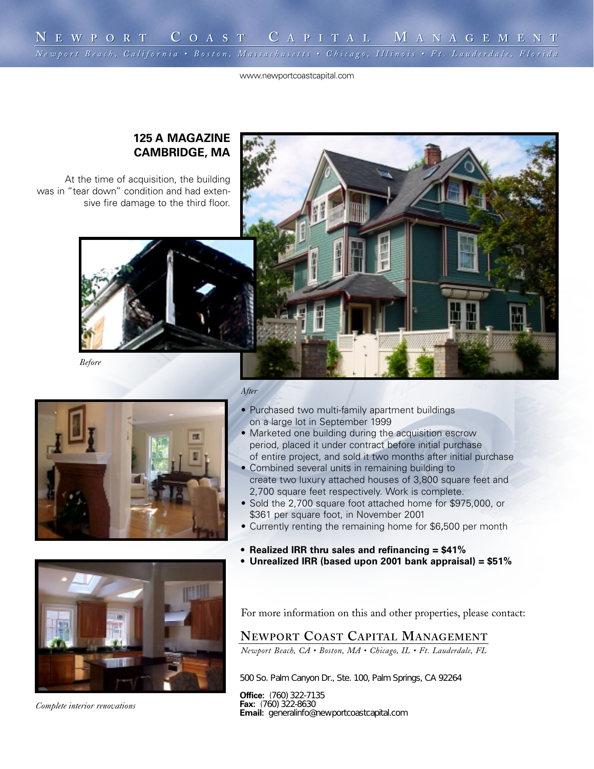www.newportcoastcapital.com

## **125 A MAGAZINE CAMBRIDGE, MA**

At the time of acquisition, the building was in "tear down" condition and had extensive fire damage to the third floor.





*Before*



#### *After*

- Purchased two multi-family apartment buildings on a large lot in September 1999
- Marketed one building during the acquisition escrow period, placed it under contract before initial purchase of entire project, and sold it two months after initial purchase
- Combined several units in remaining building to create two luxury attached houses of 3,800 square feet and 2,700 square feet respectively. Work is complete.
- Sold the 2,700 square foot attached home for \$975,000, or \$361 per square foot, in November 2001
- Currently renting the remaining home for \$6,500 per month
- **Realized IRR thru sales and refinancing = \$41%**
- **• Unrealized IRR (based upon 2001 bank appraisal) = \$51%**



### **NEWPORT COAST CAPITAL MANAGEMENT**

*Newport Beach, CA • Boston, MA • Chicago, IL • Ft. Lauderdale, FL*

500 So. Palm Canyon Dr., Ste. 100,
Palm Springs, CA 92264

**Office:** (760) 322-7135 **Fax:** (760) 322-8630 **Email:** generalinfo@newportcoastcapital.com

*Complete interior renovations*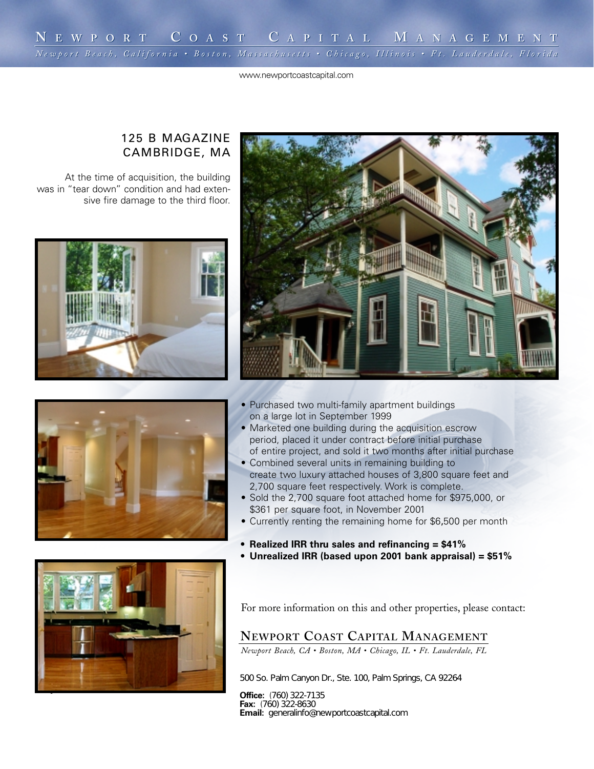www.newportcoastcapital.com

# 125 B MAGAZINE CAMBRIDGE, MA

At the time of acquisition, the building was in "tear down" condition and had extensive fire damage to the third floor.





*Complete interior renovations*

- Purchased two multi-family apartment buildings on a large lot in September 1999
- Marketed one building during the acquisition escrow period, placed it under contract before initial purchase of entire project, and sold it two months after initial purchase
- Combined several units in remaining building to create two luxury attached houses of 3,800 square feet and 2,700 square feet respectively. Work is complete.
- Sold the 2,700 square foot attached home for \$975,000, or \$361 per square foot, in November 2001
- Currently renting the remaining home for \$6,500 per month
- **Realized IRR thru sales and refinancing = \$41%**
- **• Unrealized IRR (based upon 2001 bank appraisal) = \$51%**



For more information on this and other properties, please contact:

# **NEWPORT COAST CAPITAL MANAGEMENT**

*Newport Beach, CA • Boston, MA • Chicago, IL • Ft. Lauderdale, FL*

500 So. Palm Canyon Dr., Ste. 100,
Palm Springs, CA 92264

**Office:** (760) 322-7135 **Fax:** (760) 322-8630 **Email:** generalinfo@newportcoastcapital.com